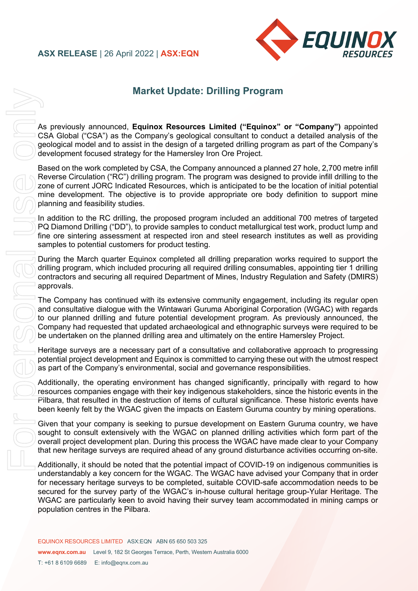## **ASX RELEASE** | 26 April 2022 | **ASX:EQN**



# **Market Update: Drilling Program**

As previously announced, **Equinox Resources Limited ("Equinox" or "Company")** appointed CSA Global ("CSA") as the Company's geological consultant to conduct a detailed analysis of the geological model and to assist in the design of a targeted drilling program as part of the Company's development focused strategy for the Hamersley Iron Ore Project.

Based on the work completed by CSA, the Company announced a planned 27 hole, 2,700 metre infill Reverse Circulation ("RC") drilling program. The program was designed to provide infill drilling to the zone of current JORC Indicated Resources, which is anticipated to be the location of initial potential mine development. The objective is to provide appropriate ore body definition to support mine planning and feasibility studies.

In addition to the RC drilling, the proposed program included an additional 700 metres of targeted PQ Diamond Drilling ("DD"), to provide samples to conduct metallurgical test work, product lump and fine ore sintering assessment at respected iron and steel research institutes as well as providing samples to potential customers for product testing.

During the March quarter Equinox completed all drilling preparation works required to support the drilling program, which included procuring all required drilling consumables, appointing tier 1 drilling contractors and securing all required Department of Mines, Industry Regulation and Safety (DMIRS) approvals.

The Company has continued with its extensive community engagement, including its regular open and consultative dialogue with the Wintawari Guruma Aboriginal Corporation (WGAC) with regards to our planned drilling and future potential development program. As previously announced, the Company had requested that updated archaeological and ethnographic surveys were required to be be undertaken on the planned drilling area and ultimately on the entire Hamersley Project.

Heritage surveys are a necessary part of a consultative and collaborative approach to progressing potential project development and Equinox is committed to carrying these out with the utmost respect as part of the Company's environmental, social and governance responsibilities.

Additionally, the operating environment has changed significantly, principally with regard to how resources companies engage with their key indigenous stakeholders, since the historic events in the Pilbara, that resulted in the destruction of items of cultural significance. These historic events have been keenly felt by the WGAC given the impacts on Eastern Guruma country by mining operations.

Given that your company is seeking to pursue development on Eastern Guruma country, we have sought to consult extensively with the WGAC on planned drilling activities which form part of the overall project development plan. During this process the WGAC have made clear to your Company that new heritage surveys are required ahead of any ground disturbance activities occurring on-site.

Additionally, it should be noted that the potential impact of COVID-19 on indigenous communities is understandably a key concern for the WGAC. The WGAC have advised your Company that in order for necessary heritage surveys to be completed, suitable COVID-safe accommodation needs to be secured for the survey party of the WGAC's in-house cultural heritage group-Yular Heritage. The WGAC are particularly keen to avoid having their survey team accommodated in mining camps or